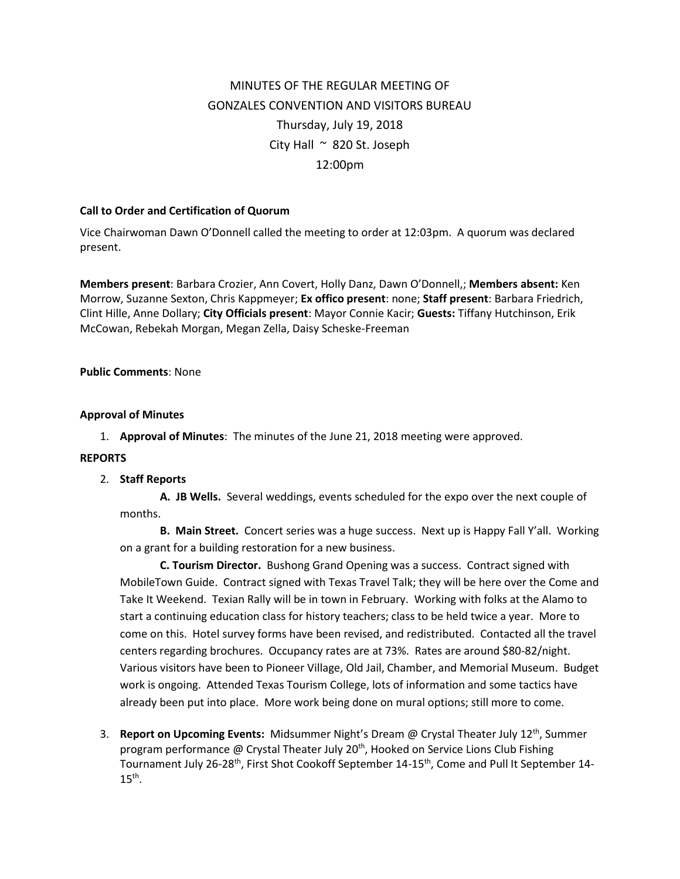# MINUTES OF THE REGULAR MEETING OF GONZALES CONVENTION AND VISITORS BUREAU Thursday, July 19, 2018 City Hall  $\sim$  820 St. Joseph 12:00pm

### **Call to Order and Certification of Quorum**

Vice Chairwoman Dawn O'Donnell called the meeting to order at 12:03pm. A quorum was declared present.

**Members present**: Barbara Crozier, Ann Covert, Holly Danz, Dawn O'Donnell,; **Members absent:** Ken Morrow, Suzanne Sexton, Chris Kappmeyer; **Ex offico present**: none; **Staff present**: Barbara Friedrich, Clint Hille, Anne Dollary; **City Officials present**: Mayor Connie Kacir; **Guests:** Tiffany Hutchinson, Erik McCowan, Rebekah Morgan, Megan Zella, Daisy Scheske-Freeman

#### **Public Comments**: None

#### **Approval of Minutes**

1. **Approval of Minutes**: The minutes of the June 21, 2018 meeting were approved.

#### **REPORTS**

2. **Staff Reports**

**A. JB Wells.** Several weddings, events scheduled for the expo over the next couple of months.

**B. Main Street.** Concert series was a huge success. Next up is Happy Fall Y'all. Working on a grant for a building restoration for a new business.

**C. Tourism Director.** Bushong Grand Opening was a success. Contract signed with MobileTown Guide. Contract signed with Texas Travel Talk; they will be here over the Come and Take It Weekend. Texian Rally will be in town in February. Working with folks at the Alamo to start a continuing education class for history teachers; class to be held twice a year. More to come on this. Hotel survey forms have been revised, and redistributed. Contacted all the travel centers regarding brochures. Occupancy rates are at 73%. Rates are around \$80-82/night. Various visitors have been to Pioneer Village, Old Jail, Chamber, and Memorial Museum. Budget work is ongoing. Attended Texas Tourism College, lots of information and some tactics have already been put into place. More work being done on mural options; still more to come.

3. **Report on Upcoming Events:** Midsummer Night's Dream @ Crystal Theater July 12th, Summer program performance @ Crystal Theater July  $20<sup>th</sup>$ , Hooked on Service Lions Club Fishing Tournament July 26-28<sup>th</sup>, First Shot Cookoff September 14-15<sup>th</sup>, Come and Pull It September 14- $15<sup>th</sup>$ .